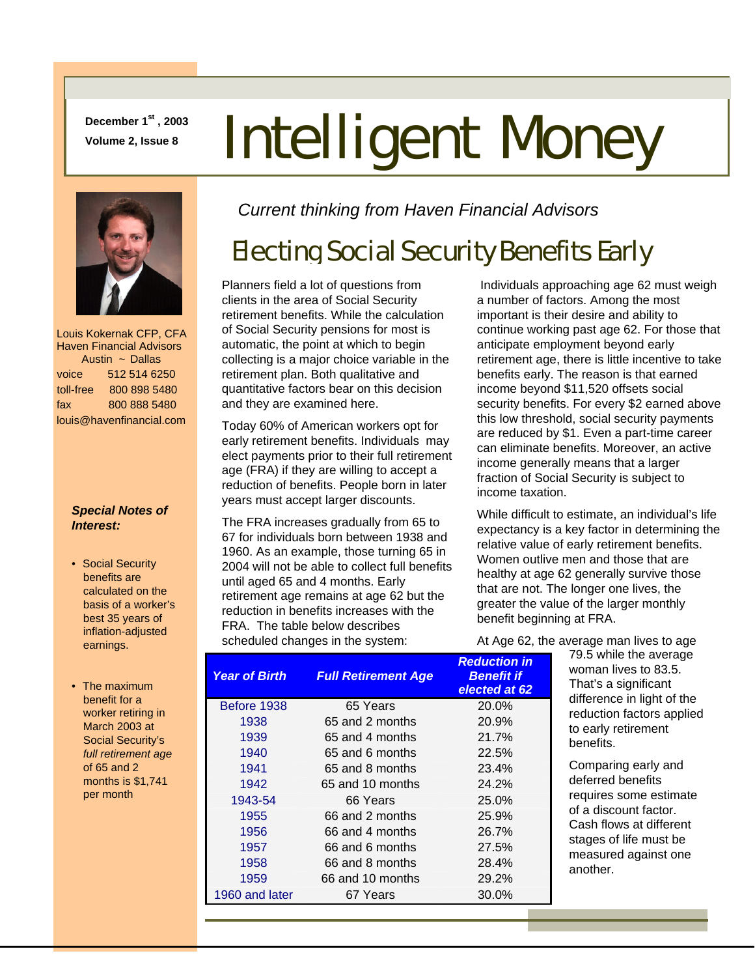**December 1st , 2003** 

# **December 1<sup>st</sup>, 2003** Intelligent Money



 Louis Kokernak CFP, CFA Haven Financial Advisors Austin ~ Dallas voice 512 514 6250 toll-free 800 898 5480 fax 800 888 5480 louis@havenfinancial.com

### *Special Notes of Interest:*

- Social Security benefits are calculated on the basis of a worker's best 35 years of inflation-adjusted earnings.
- The maximum benefit for a worker retiring in March 2003 at Social Security's *full retirement age* of 65 and 2 months is \$1,741 per month

*Current thinking from Haven Financial Advisors* 

## Electing Social Security Benefits Early

Planners field a lot of questions from clients in the area of Social Security retirement benefits. While the calculation of Social Security pensions for most is automatic, the point at which to begin collecting is a major choice variable in the retirement plan. Both qualitative and quantitative factors bear on this decision and they are examined here.

Today 60% of American workers opt for early retirement benefits. Individuals may elect payments prior to their full retirement age (FRA) if they are willing to accept a reduction of benefits. People born in later years must accept larger discounts.

The FRA increases gradually from 65 to 67 for individuals born between 1938 and 1960. As an example, those turning 65 in 2004 will not be able to collect full benefits until aged 65 and 4 months. Early retirement age remains at age 62 but the reduction in benefits increases with the FRA. The table below describes scheduled changes in the system:

 Individuals approaching age 62 must weigh a number of factors. Among the most important is their desire and ability to continue working past age 62. For those that anticipate employment beyond early retirement age, there is little incentive to take benefits early. The reason is that earned income beyond \$11,520 offsets social security benefits. For every \$2 earned above this low threshold, social security payments are reduced by \$1. Even a part-time career can eliminate benefits. Moreover, an active income generally means that a larger fraction of Social Security is subject to income taxation.

While difficult to estimate, an individual's life expectancy is a key factor in determining the relative value of early retirement benefits. Women outlive men and those that are healthy at age 62 generally survive those that are not. The longer one lives, the greater the value of the larger monthly benefit beginning at FRA.

At Age 62, the average man lives to age

| <b>Year of Birth</b> | <b>Full Retirement Age</b> | <b>Reduction in</b><br><b>Benefit if</b><br>elected at 62 |
|----------------------|----------------------------|-----------------------------------------------------------|
| Before 1938          | 65 Years                   | 20.0%                                                     |
| 1938                 | 65 and 2 months            | 20.9%                                                     |
| 1939                 | 65 and 4 months            | 21.7%                                                     |
| 1940                 | 65 and 6 months            | 22.5%                                                     |
| 1941                 | 65 and 8 months            | 23.4%                                                     |
| 1942                 | 65 and 10 months           | 24.2%                                                     |
| 1943-54              | 66 Years                   | 25.0%                                                     |
| 1955                 | 66 and 2 months            | 25.9%                                                     |
| 1956                 | 66 and 4 months            | 26.7%                                                     |
| 1957                 | 66 and 6 months            | 27.5%                                                     |
| 1958                 | 66 and 8 months            | 28.4%                                                     |
| 1959                 | 66 and 10 months           | 29.2%                                                     |
| 1960 and later       | 67 Years                   | 30.0%                                                     |

79.5 while the average woman lives to 83.5. That's a significant difference in light of the reduction factors applied to early retirement benefits.

Comparing early and deferred benefits requires some estimate of a discount factor. Cash flows at different stages of life must be measured against one another.